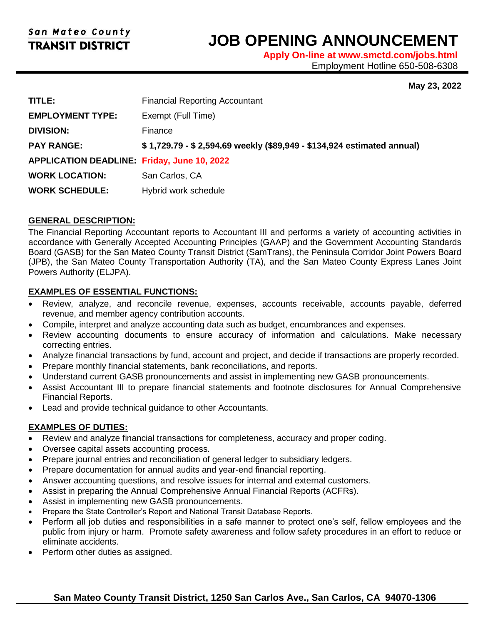l

# **JOB OPENING ANNOUNCEMENT**

**Apply On-line at www.smctd.com/jobs.html** Employment Hotline 650-508-6308

#### **May 23, 2022**

| TITLE:                                            | <b>Financial Reporting Accountant</b>                                  |
|---------------------------------------------------|------------------------------------------------------------------------|
| <b>EMPLOYMENT TYPE:</b>                           | Exempt (Full Time)                                                     |
| <b>DIVISION:</b>                                  | Finance                                                                |
| <b>PAY RANGE:</b>                                 | \$1,729.79 - \$2,594.69 weekly (\$89,949 - \$134,924 estimated annual) |
| <b>APPLICATION DEADLINE Friday, June 10, 2022</b> |                                                                        |
| <b>WORK LOCATION:</b>                             | San Carlos, CA                                                         |
| <b>WORK SCHEDULE:</b>                             | Hybrid work schedule                                                   |

# **GENERAL DESCRIPTION:**

The Financial Reporting Accountant reports to Accountant III and performs a variety of accounting activities in accordance with Generally Accepted Accounting Principles (GAAP) and the Government Accounting Standards Board (GASB) for the San Mateo County Transit District (SamTrans), the Peninsula Corridor Joint Powers Board (JPB), the San Mateo County Transportation Authority (TA), and the San Mateo County Express Lanes Joint Powers Authority (ELJPA).

# **EXAMPLES OF ESSENTIAL FUNCTIONS:**

- Review, analyze, and reconcile revenue, expenses, accounts receivable, accounts payable, deferred revenue, and member agency contribution accounts.
- Compile, interpret and analyze accounting data such as budget, encumbrances and expenses.
- Review accounting documents to ensure accuracy of information and calculations. Make necessary correcting entries.
- Analyze financial transactions by fund, account and project, and decide if transactions are properly recorded.
- Prepare monthly financial statements, bank reconciliations, and reports.
- Understand current GASB pronouncements and assist in implementing new GASB pronouncements.
- Assist Accountant III to prepare financial statements and footnote disclosures for Annual Comprehensive Financial Reports.
- Lead and provide technical guidance to other Accountants.

# **EXAMPLES OF DUTIES:**

- Review and analyze financial transactions for completeness, accuracy and proper coding.
- Oversee capital assets accounting process.
- Prepare journal entries and reconciliation of general ledger to subsidiary ledgers.
- Prepare documentation for annual audits and year-end financial reporting.
- Answer accounting questions, and resolve issues for internal and external customers.
- Assist in preparing the Annual Comprehensive Annual Financial Reports (ACFRs).
- Assist in implementing new GASB pronouncements.
- Prepare the State Controller's Report and National Transit Database Reports.
- Perform all job duties and responsibilities in a safe manner to protect one's self, fellow employees and the public from injury or harm. Promote safety awareness and follow safety procedures in an effort to reduce or eliminate accidents.
- Perform other duties as assigned.

# **San Mateo County Transit District, 1250 San Carlos Ave., San Carlos, CA 94070-1306**